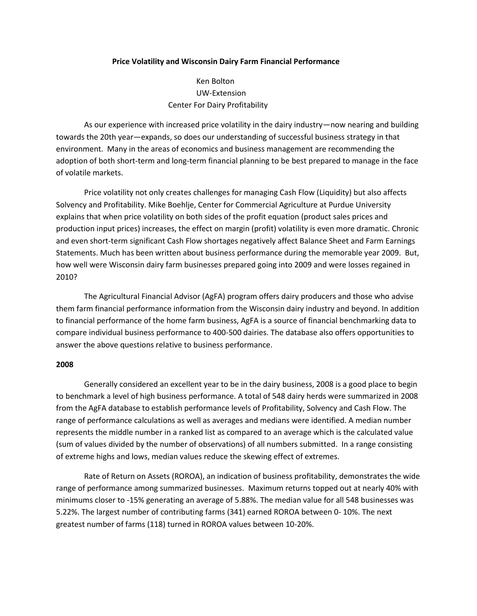## **Price Volatility and Wisconsin Dairy Farm Financial Performance**

Ken Bolton UW-Extension Center For Dairy Profitability

As our experience with increased price volatility in the dairy industry—now nearing and building towards the 20th year—expands, so does our understanding of successful business strategy in that environment. Many in the areas of economics and business management are recommending the adoption of both short-term and long-term financial planning to be best prepared to manage in the face of volatile markets.

Price volatility not only creates challenges for managing Cash Flow (Liquidity) but also affects Solvency and Profitability. Mike Boehlje, Center for Commercial Agriculture at Purdue University explains that when price volatility on both sides of the profit equation (product sales prices and production input prices) increases, the effect on margin (profit) volatility is even more dramatic. Chronic and even short-term significant Cash Flow shortages negatively affect Balance Sheet and Farm Earnings Statements. Much has been written about business performance during the memorable year 2009. But, how well were Wisconsin dairy farm businesses prepared going into 2009 and were losses regained in 2010?

The Agricultural Financial Advisor (AgFA) program offers dairy producers and those who advise them farm financial performance information from the Wisconsin dairy industry and beyond. In addition to financial performance of the home farm business, AgFA is a source of financial benchmarking data to compare individual business performance to 400-500 dairies. The database also offers opportunities to answer the above questions relative to business performance.

## **2008**

Generally considered an excellent year to be in the dairy business, 2008 is a good place to begin to benchmark a level of high business performance. A total of 548 dairy herds were summarized in 2008 from the AgFA database to establish performance levels of Profitability, Solvency and Cash Flow. The range of performance calculations as well as averages and medians were identified. A median number represents the middle number in a ranked list as compared to an average which is the calculated value (sum of values divided by the number of observations) of all numbers submitted. In a range consisting of extreme highs and lows, median values reduce the skewing effect of extremes.

Rate of Return on Assets (ROROA), an indication of business profitability, demonstrates the wide range of performance among summarized businesses. Maximum returns topped out at nearly 40% with minimums closer to -15% generating an average of 5.88%. The median value for all 548 businesses was 5.22%. The largest number of contributing farms (341) earned ROROA between 0- 10%. The next greatest number of farms (118) turned in ROROA values between 10-20%.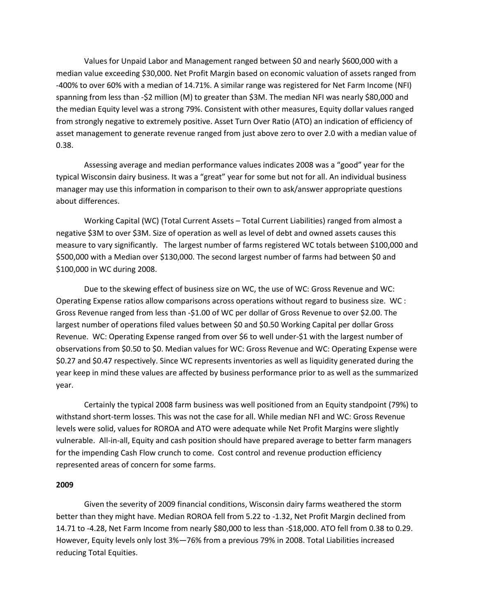Values for Unpaid Labor and Management ranged between \$0 and nearly \$600,000 with a median value exceeding \$30,000. Net Profit Margin based on economic valuation of assets ranged from -400% to over 60% with a median of 14.71%. A similar range was registered for Net Farm Income (NFI) spanning from less than -\$2 million (M) to greater than \$3M. The median NFI was nearly \$80,000 and the median Equity level was a strong 79%. Consistent with other measures, Equity dollar values ranged from strongly negative to extremely positive. Asset Turn Over Ratio (ATO) an indication of efficiency of asset management to generate revenue ranged from just above zero to over 2.0 with a median value of 0.38.

Assessing average and median performance values indicates 2008 was a "good" year for the typical Wisconsin dairy business. It was a "great" year for some but not for all. An individual business manager may use this information in comparison to their own to ask/answer appropriate questions about differences.

Working Capital (WC) (Total Current Assets – Total Current Liabilities) ranged from almost a negative \$3M to over \$3M. Size of operation as well as level of debt and owned assets causes this measure to vary significantly. The largest number of farms registered WC totals between \$100,000 and \$500,000 with a Median over \$130,000. The second largest number of farms had between \$0 and \$100,000 in WC during 2008.

Due to the skewing effect of business size on WC, the use of WC: Gross Revenue and WC: Operating Expense ratios allow comparisons across operations without regard to business size. WC : Gross Revenue ranged from less than -\$1.00 of WC per dollar of Gross Revenue to over \$2.00. The largest number of operations filed values between \$0 and \$0.50 Working Capital per dollar Gross Revenue. WC: Operating Expense ranged from over \$6 to well under-\$1 with the largest number of observations from \$0.50 to \$0. Median values for WC: Gross Revenue and WC: Operating Expense were \$0.27 and \$0.47 respectively. Since WC represents inventories as well as liquidity generated during the year keep in mind these values are affected by business performance prior to as well as the summarized year.

Certainly the typical 2008 farm business was well positioned from an Equity standpoint (79%) to withstand short-term losses. This was not the case for all. While median NFI and WC: Gross Revenue levels were solid, values for ROROA and ATO were adequate while Net Profit Margins were slightly vulnerable. All-in-all, Equity and cash position should have prepared average to better farm managers for the impending Cash Flow crunch to come. Cost control and revenue production efficiency represented areas of concern for some farms.

## **2009**

Given the severity of 2009 financial conditions, Wisconsin dairy farms weathered the storm better than they might have. Median ROROA fell from 5.22 to -1.32, Net Profit Margin declined from 14.71 to -4.28, Net Farm Income from nearly \$80,000 to less than -\$18,000. ATO fell from 0.38 to 0.29. However, Equity levels only lost 3%—76% from a previous 79% in 2008. Total Liabilities increased reducing Total Equities.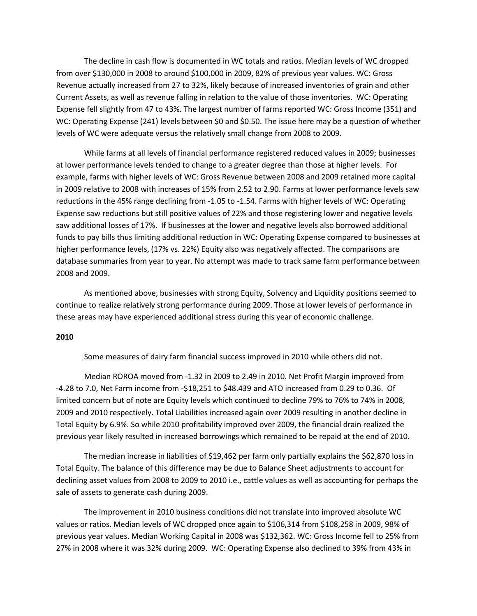The decline in cash flow is documented in WC totals and ratios. Median levels of WC dropped from over \$130,000 in 2008 to around \$100,000 in 2009, 82% of previous year values. WC: Gross Revenue actually increased from 27 to 32%, likely because of increased inventories of grain and other Current Assets, as well as revenue falling in relation to the value of those inventories. WC: Operating Expense fell slightly from 47 to 43%. The largest number of farms reported WC: Gross Income (351) and WC: Operating Expense (241) levels between \$0 and \$0.50. The issue here may be a question of whether levels of WC were adequate versus the relatively small change from 2008 to 2009.

While farms at all levels of financial performance registered reduced values in 2009; businesses at lower performance levels tended to change to a greater degree than those at higher levels. For example, farms with higher levels of WC: Gross Revenue between 2008 and 2009 retained more capital in 2009 relative to 2008 with increases of 15% from 2.52 to 2.90. Farms at lower performance levels saw reductions in the 45% range declining from -1.05 to -1.54. Farms with higher levels of WC: Operating Expense saw reductions but still positive values of 22% and those registering lower and negative levels saw additional losses of 17%. If businesses at the lower and negative levels also borrowed additional funds to pay bills thus limiting additional reduction in WC: Operating Expense compared to businesses at higher performance levels, (17% vs. 22%) Equity also was negatively affected. The comparisons are database summaries from year to year. No attempt was made to track same farm performance between 2008 and 2009.

As mentioned above, businesses with strong Equity, Solvency and Liquidity positions seemed to continue to realize relatively strong performance during 2009. Those at lower levels of performance in these areas may have experienced additional stress during this year of economic challenge.

## **2010**

Some measures of dairy farm financial success improved in 2010 while others did not.

Median ROROA moved from -1.32 in 2009 to 2.49 in 2010. Net Profit Margin improved from -4.28 to 7.0, Net Farm income from -\$18,251 to \$48.439 and ATO increased from 0.29 to 0.36. Of limited concern but of note are Equity levels which continued to decline 79% to 76% to 74% in 2008, 2009 and 2010 respectively. Total Liabilities increased again over 2009 resulting in another decline in Total Equity by 6.9%. So while 2010 profitability improved over 2009, the financial drain realized the previous year likely resulted in increased borrowings which remained to be repaid at the end of 2010.

The median increase in liabilities of \$19,462 per farm only partially explains the \$62,870 loss in Total Equity. The balance of this difference may be due to Balance Sheet adjustments to account for declining asset values from 2008 to 2009 to 2010 i.e., cattle values as well as accounting for perhaps the sale of assets to generate cash during 2009.

The improvement in 2010 business conditions did not translate into improved absolute WC values or ratios. Median levels of WC dropped once again to \$106,314 from \$108,258 in 2009, 98% of previous year values. Median Working Capital in 2008 was \$132,362. WC: Gross Income fell to 25% from 27% in 2008 where it was 32% during 2009. WC: Operating Expense also declined to 39% from 43% in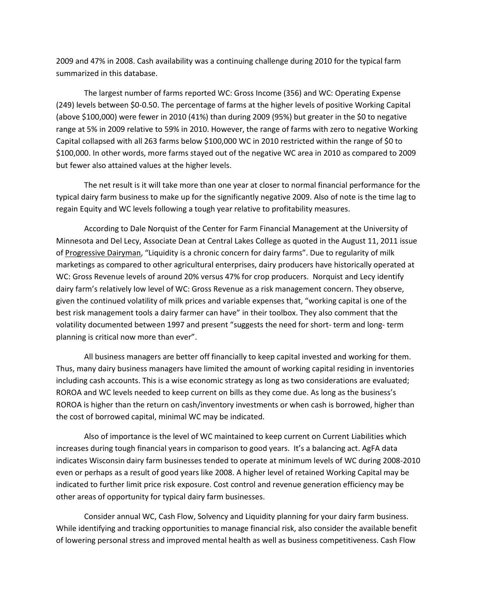2009 and 47% in 2008. Cash availability was a continuing challenge during 2010 for the typical farm summarized in this database.

The largest number of farms reported WC: Gross Income (356) and WC: Operating Expense (249) levels between \$0-0.50. The percentage of farms at the higher levels of positive Working Capital (above \$100,000) were fewer in 2010 (41%) than during 2009 (95%) but greater in the \$0 to negative range at 5% in 2009 relative to 59% in 2010. However, the range of farms with zero to negative Working Capital collapsed with all 263 farms below \$100,000 WC in 2010 restricted within the range of \$0 to \$100,000. In other words, more farms stayed out of the negative WC area in 2010 as compared to 2009 but fewer also attained values at the higher levels.

The net result is it will take more than one year at closer to normal financial performance for the typical dairy farm business to make up for the significantly negative 2009. Also of note is the time lag to regain Equity and WC levels following a tough year relative to profitability measures.

According to Dale Norquist of the Center for Farm Financial Management at the University of Minnesota and Del Lecy, Associate Dean at Central Lakes College as quoted in the August 11, 2011 issue of Progressive Dairyman, "Liquidity is a chronic concern for dairy farms". Due to regularity of milk marketings as compared to other agricultural enterprises, dairy producers have historically operated at WC: Gross Revenue levels of around 20% versus 47% for crop producers. Norquist and Lecy identify dairy farm's relatively low level of WC: Gross Revenue as a risk management concern. They observe, given the continued volatility of milk prices and variable expenses that, "working capital is one of the best risk management tools a dairy farmer can have" in their toolbox. They also comment that the volatility documented between 1997 and present "suggests the need for short- term and long- term planning is critical now more than ever".

All business managers are better off financially to keep capital invested and working for them. Thus, many dairy business managers have limited the amount of working capital residing in inventories including cash accounts. This is a wise economic strategy as long as two considerations are evaluated; ROROA and WC levels needed to keep current on bills as they come due. As long as the business's ROROA is higher than the return on cash/inventory investments or when cash is borrowed, higher than the cost of borrowed capital, minimal WC may be indicated.

Also of importance is the level of WC maintained to keep current on Current Liabilities which increases during tough financial years in comparison to good years. It's a balancing act. AgFA data indicates Wisconsin dairy farm businesses tended to operate at minimum levels of WC during 2008-2010 even or perhaps as a result of good years like 2008. A higher level of retained Working Capital may be indicated to further limit price risk exposure. Cost control and revenue generation efficiency may be other areas of opportunity for typical dairy farm businesses.

Consider annual WC, Cash Flow, Solvency and Liquidity planning for your dairy farm business. While identifying and tracking opportunities to manage financial risk, also consider the available benefit of lowering personal stress and improved mental health as well as business competitiveness. Cash Flow